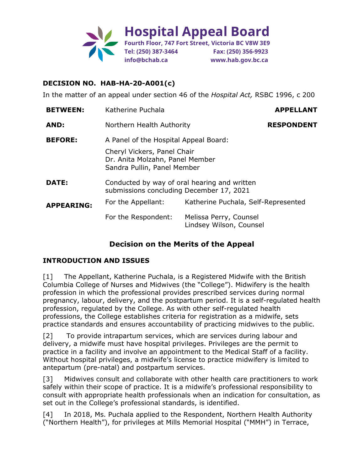

In the matter of an appeal under section 46 of the *Hospital Act,* RSBC 1996, c 200

| <b>BETWEEN:</b>   | Katherine Puchala                                                                             |                                                   | <b>APPELLANT</b>  |
|-------------------|-----------------------------------------------------------------------------------------------|---------------------------------------------------|-------------------|
| AND:              | Northern Health Authority                                                                     |                                                   | <b>RESPONDENT</b> |
| <b>BEFORE:</b>    | A Panel of the Hospital Appeal Board:                                                         |                                                   |                   |
|                   | Cheryl Vickers, Panel Chair<br>Dr. Anita Molzahn, Panel Member<br>Sandra Pullin, Panel Member |                                                   |                   |
| DATE:             | Conducted by way of oral hearing and written<br>submissions concluding December 17, 2021      |                                                   |                   |
| <b>APPEARING:</b> | For the Appellant:                                                                            | Katherine Puchala, Self-Represented               |                   |
|                   | For the Respondent:                                                                           | Melissa Perry, Counsel<br>Lindsey Wilson, Counsel |                   |

# **Decision on the Merits of the Appeal**

#### **INTRODUCTION AND ISSUES**

[1] The Appellant, Katherine Puchala, is a Registered Midwife with the British Columbia College of Nurses and Midwives (the "College"). Midwifery is the health profession in which the professional provides prescribed services during normal pregnancy, labour, delivery, and the postpartum period. It is a self-regulated health profession, regulated by the College. As with other self-regulated health professions, the College establishes criteria for registration as a midwife, sets practice standards and ensures accountability of practicing midwives to the public.

[2] To provide intrapartum services, which are services during labour and delivery, a midwife must have hospital privileges. Privileges are the permit to practice in a facility and involve an appointment to the Medical Staff of a facility. Without hospital privileges, a midwife's license to practice midwifery is limited to antepartum (pre-natal) and postpartum services.

[3] Midwives consult and collaborate with other health care practitioners to work safely within their scope of practice. It is a midwife's professional responsibility to consult with appropriate health professionals when an indication for consultation, as set out in the College's professional standards, is identified.

[4] In 2018, Ms. Puchala applied to the Respondent, Northern Health Authority ("Northern Health"), for privileges at Mills Memorial Hospital ("MMH") in Terrace,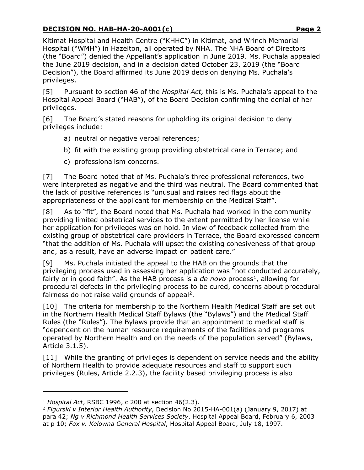Kitimat Hospital and Health Centre ("KHHC") in Kitimat, and Wrinch Memorial Hospital ("WMH") in Hazelton, all operated by NHA. The NHA Board of Directors (the "Board") denied the Appellant's application in June 2019. Ms. Puchala appealed the June 2019 decision, and in a decision dated October 23, 2019 (the "Board Decision"), the Board affirmed its June 2019 decision denying Ms. Puchala's privileges.

[5] Pursuant to section 46 of the *Hospital Act,* this is Ms. Puchala's appeal to the Hospital Appeal Board ("HAB"), of the Board Decision confirming the denial of her privileges.

[6] The Board's stated reasons for upholding its original decision to deny privileges include:

- a) neutral or negative verbal references;
- b) fit with the existing group providing obstetrical care in Terrace; and
- c) professionalism concerns.

[7] The Board noted that of Ms. Puchala's three professional references, two were interpreted as negative and the third was neutral. The Board commented that the lack of positive references is "unusual and raises red flags about the appropriateness of the applicant for membership on the Medical Staff".

[8] As to "fit", the Board noted that Ms. Puchala had worked in the community providing limited obstetrical services to the extent permitted by her license while her application for privileges was on hold. In view of feedback collected from the existing group of obstetrical care providers in Terrace, the Board expressed concern "that the addition of Ms. Puchala will upset the existing cohesiveness of that group and, as a result, have an adverse impact on patient care."

[9] Ms. Puchala initiated the appeal to the HAB on the grounds that the privileging process used in assessing her application was "not conducted accurately, fairly or in good faith". As the HAB process is a *de novo* process<sup>[1](#page-1-0)</sup>, allowing for procedural defects in the privileging process to be cured, concerns about procedural fairness do not raise valid grounds of appeal<sup>[2](#page-1-1)</sup>.

[10] The criteria for membership to the Northern Health Medical Staff are set out in the Northern Health Medical Staff Bylaws (the "Bylaws") and the Medical Staff Rules (the "Rules"). The Bylaws provide that an appointment to medical staff is "dependent on the human resource requirements of the facilities and programs operated by Northern Health and on the needs of the population served" (Bylaws, Article 3.1.5).

[11] While the granting of privileges is dependent on service needs and the ability of Northern Health to provide adequate resources and staff to support such privileges (Rules, Article 2.2.3), the facility based privileging process is also

<span id="page-1-0"></span><sup>1</sup> *Hospital Act*, RSBC 1996, c 200 at section 46(2.3).

<span id="page-1-1"></span><sup>2</sup> *Figurski v Interior Health Authority*, Decision No 2015-HA-001(a) (January 9, 2017) at para 42; *Ng v Richmond Health Services Society*, Hospital Appeal Board, February 6, 2003 at p 10; *Fox v. Kelowna General Hospital*, Hospital Appeal Board, July 18, 1997.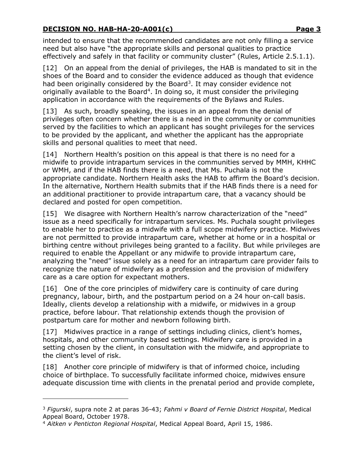intended to ensure that the recommended candidates are not only filling a service need but also have "the appropriate skills and personal qualities to practice effectively and safely in that facility or community cluster" (Rules, Article 2.5.1.1).

[12] On an appeal from the denial of privileges, the HAB is mandated to sit in the shoes of the Board and to consider the evidence adduced as though that evidence had been originally considered by the Board<sup>[3](#page-2-0)</sup>. It may consider evidence not originally available to the Board<sup>4</sup>. In doing so, it must consider the privileging application in accordance with the requirements of the Bylaws and Rules.

[13] As such, broadly speaking, the issues in an appeal from the denial of privileges often concern whether there is a need in the community or communities served by the facilities to which an applicant has sought privileges for the services to be provided by the applicant, and whether the applicant has the appropriate skills and personal qualities to meet that need.

[14] Northern Health's position on this appeal is that there is no need for a midwife to provide intrapartum services in the communities served by MMH, KHHC or WMH, and if the HAB finds there is a need, that Ms. Puchala is not the appropriate candidate. Northern Health asks the HAB to affirm the Board's decision. In the alternative, Northern Health submits that if the HAB finds there is a need for an additional practitioner to provide intrapartum care, that a vacancy should be declared and posted for open competition.

[15] We disagree with Northern Health's narrow characterization of the "need" issue as a need specifically for intrapartum services. Ms. Puchala sought privileges to enable her to practice as a midwife with a full scope midwifery practice. Midwives are not permitted to provide intrapartum care, whether at home or in a hospital or birthing centre without privileges being granted to a facility. But while privileges are required to enable the Appellant or any midwife to provide intrapartum care, analyzing the "need" issue solely as a need for an intrapartum care provider fails to recognize the nature of midwifery as a profession and the provision of midwifery care as a care option for expectant mothers.

[16] One of the core principles of midwifery care is continuity of care during pregnancy, labour, birth, and the postpartum period on a 24 hour on-call basis. Ideally, clients develop a relationship with a midwife, or midwives in a group practice, before labour. That relationship extends though the provision of postpartum care for mother and newborn following birth.

[17] Midwives practice in a range of settings including clinics, client's homes, hospitals, and other community based settings. Midwifery care is provided in a setting chosen by the client, in consultation with the midwife, and appropriate to the client's level of risk.

[18] Another core principle of midwifery is that of informed choice, including choice of birthplace. To successfully facilitate informed choice, midwives ensure adequate discussion time with clients in the prenatal period and provide complete,

<span id="page-2-0"></span><sup>3</sup> *Figurski*, supra note 2 at paras 36-43; *Fahmi v Board of Fernie District Hospital*, Medical Appeal Board, October 1978.

<span id="page-2-1"></span><sup>4</sup> *Aitken v Penticton Regional Hospital*, Medical Appeal Board, April 15, 1986.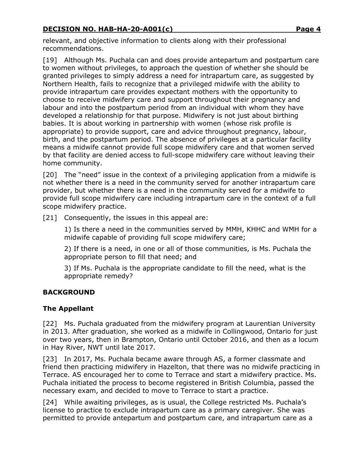relevant, and objective information to clients along with their professional recommendations.

[19] Although Ms. Puchala can and does provide antepartum and postpartum care to women without privileges, to approach the question of whether she should be granted privileges to simply address a need for intrapartum care, as suggested by Northern Health, fails to recognize that a privileged midwife with the ability to provide intrapartum care provides expectant mothers with the opportunity to choose to receive midwifery care and support throughout their pregnancy and labour and into the postpartum period from an individual with whom they have developed a relationship for that purpose. Midwifery is not just about birthing babies. It is about working in partnership with women (whose risk profile is appropriate) to provide support, care and advice throughout pregnancy, labour, birth, and the postpartum period. The absence of privileges at a particular facility means a midwife cannot provide full scope midwifery care and that women served by that facility are denied access to full-scope midwifery care without leaving their home community.

[20] The "need" issue in the context of a privileging application from a midwife is not whether there is a need in the community served for another intrapartum care provider, but whether there is a need in the community served for a midwife to provide full scope midwifery care including intrapartum care in the context of a full scope midwifery practice.

[21] Consequently, the issues in this appeal are:

1) Is there a need in the communities served by MMH, KHHC and WMH for a midwife capable of providing full scope midwifery care;

2) If there is a need, in one or all of those communities, is Ms. Puchala the appropriate person to fill that need; and

3) If Ms. Puchala is the appropriate candidate to fill the need, what is the appropriate remedy?

### **BACKGROUND**

### **The Appellant**

[22] Ms. Puchala graduated from the midwifery program at Laurentian University in 2013. After graduation, she worked as a midwife in Collingwood, Ontario for just over two years, then in Brampton, Ontario until October 2016, and then as a locum in Hay River, NWT until late 2017.

[23] In 2017, Ms. Puchala became aware through AS, a former classmate and friend then practicing midwifery in Hazelton, that there was no midwife practicing in Terrace. AS encouraged her to come to Terrace and start a midwifery practice. Ms. Puchala initiated the process to become registered in British Columbia, passed the necessary exam, and decided to move to Terrace to start a practice.

[24] While awaiting privileges, as is usual, the College restricted Ms. Puchala's license to practice to exclude intrapartum care as a primary caregiver. She was permitted to provide antepartum and postpartum care, and intrapartum care as a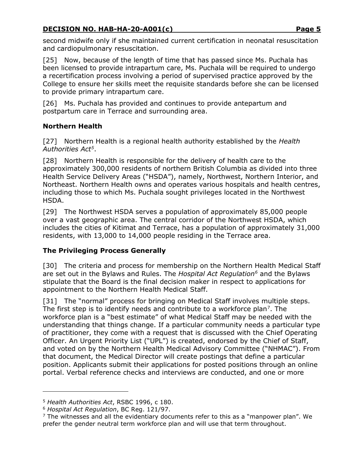second midwife only if she maintained current certification in neonatal resuscitation and cardiopulmonary resuscitation.

[25] Now, because of the length of time that has passed since Ms. Puchala has been licensed to provide intrapartum care, Ms. Puchala will be required to undergo a recertification process involving a period of supervised practice approved by the College to ensure her skills meet the requisite standards before she can be licensed to provide primary intrapartum care.

[26] Ms. Puchala has provided and continues to provide antepartum and postpartum care in Terrace and surrounding area.

# **Northern Health**

[27] Northern Health is a regional health authority established by the *Health Authorities Act[5](#page-4-0)*.

[28] Northern Health is responsible for the delivery of health care to the approximately 300,000 residents of northern British Columbia as divided into three Health Service Delivery Areas ("HSDA"), namely, Northwest, Northern Interior, and Northeast. Northern Health owns and operates various hospitals and health centres, including those to which Ms. Puchala sought privileges located in the Northwest HSDA.

[29] The Northwest HSDA serves a population of approximately 85,000 people over a vast geographic area. The central corridor of the Northwest HSDA, which includes the cities of Kitimat and Terrace, has a population of approximately 31,000 residents, with 13,000 to 14,000 people residing in the Terrace area.

# **The Privileging Process Generally**

[30] The criteria and process for membership on the Northern Health Medical Staff are set out in the Bylaws and Rules. The *Hospital Act Regulation[6](#page-4-1)* and the Bylaws stipulate that the Board is the final decision maker in respect to applications for appointment to the Northern Health Medical Staff.

[31] The "normal" process for bringing on Medical Staff involves multiple steps. The first step is to identify needs and contribute to a workforce plan<sup>[7](#page-4-2)</sup>. The workforce plan is a "best estimate" of what Medical Staff may be needed with the understanding that things change. If a particular community needs a particular type of practitioner, they come with a request that is discussed with the Chief Operating Officer. An Urgent Priority List ("UPL") is created, endorsed by the Chief of Staff, and voted on by the Northern Health Medical Advisory Committee ("NHMAC"). From that document, the Medical Director will create postings that define a particular position. Applicants submit their applications for posted positions through an online portal. Verbal reference checks and interviews are conducted, and one or more

<span id="page-4-0"></span><sup>5</sup> *Health Authorities Act*, RSBC 1996, c 180.

<span id="page-4-1"></span><sup>6</sup> *Hospital Act Regulation*, BC Reg. 121/97.

<span id="page-4-2"></span> $7$  The witnesses and all the evidentiary documents refer to this as a "manpower plan". We prefer the gender neutral term workforce plan and will use that term throughout.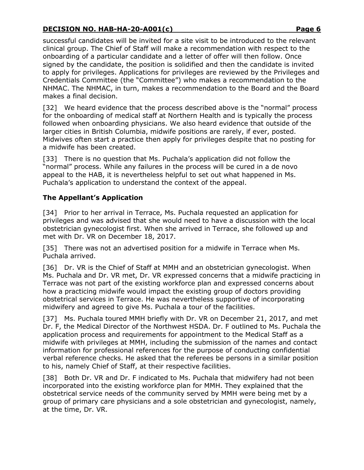successful candidates will be invited for a site visit to be introduced to the relevant clinical group. The Chief of Staff will make a recommendation with respect to the onboarding of a particular candidate and a letter of offer will then follow. Once signed by the candidate, the position is solidified and then the candidate is invited to apply for privileges. Applications for privileges are reviewed by the Privileges and Credentials Committee (the "Committee") who makes a recommendation to the NHMAC. The NHMAC, in turn, makes a recommendation to the Board and the Board makes a final decision.

[32] We heard evidence that the process described above is the "normal" process for the onboarding of medical staff at Northern Health and is typically the process followed when onboarding physicians. We also heard evidence that outside of the larger cities in British Columbia, midwife positions are rarely, if ever, posted. Midwives often start a practice then apply for privileges despite that no posting for a midwife has been created.

[33] There is no question that Ms. Puchala's application did not follow the "normal" process. While any failures in the process will be cured in a de novo appeal to the HAB, it is nevertheless helpful to set out what happened in Ms. Puchala's application to understand the context of the appeal.

# **The Appellant's Application**

[34] Prior to her arrival in Terrace, Ms. Puchala requested an application for privileges and was advised that she would need to have a discussion with the local obstetrician gynecologist first. When she arrived in Terrace, she followed up and met with Dr. VR on December 18, 2017.

[35] There was not an advertised position for a midwife in Terrace when Ms. Puchala arrived.

[36] Dr. VR is the Chief of Staff at MMH and an obstetrician gynecologist. When Ms. Puchala and Dr. VR met, Dr. VR expressed concerns that a midwife practicing in Terrace was not part of the existing workforce plan and expressed concerns about how a practicing midwife would impact the existing group of doctors providing obstetrical services in Terrace. He was nevertheless supportive of incorporating midwifery and agreed to give Ms. Puchala a tour of the facilities.

[37] Ms. Puchala toured MMH briefly with Dr. VR on December 21, 2017, and met Dr. F, the Medical Director of the Northwest HSDA. Dr. F outlined to Ms. Puchala the application process and requirements for appointment to the Medical Staff as a midwife with privileges at MMH, including the submission of the names and contact information for professional references for the purpose of conducting confidential verbal reference checks. He asked that the referees be persons in a similar position to his, namely Chief of Staff, at their respective facilities.

[38] Both Dr. VR and Dr. F indicated to Ms. Puchala that midwifery had not been incorporated into the existing workforce plan for MMH. They explained that the obstetrical service needs of the community served by MMH were being met by a group of primary care physicians and a sole obstetrician and gynecologist, namely, at the time, Dr. VR.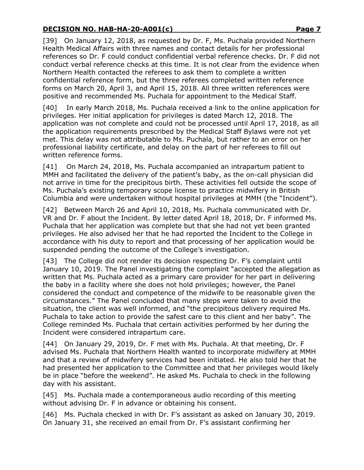[39] On January 12, 2018, as requested by Dr. F, Ms. Puchala provided Northern Health Medical Affairs with three names and contact details for her professional references so Dr. F could conduct confidential verbal reference checks. Dr. F did not conduct verbal reference checks at this time. It is not clear from the evidence when Northern Health contacted the referees to ask them to complete a written confidential reference form, but the three referees completed written reference forms on March 20, April 3, and April 15, 2018. All three written references were positive and recommended Ms. Puchala for appointment to the Medical Staff.

[40] In early March 2018, Ms. Puchala received a link to the online application for privileges. Her initial application for privileges is dated March 12, 2018. The application was not complete and could not be processed until April 17, 2018, as all the application requirements prescribed by the Medical Staff Bylaws were not yet met. This delay was not attributable to Ms. Puchala, but rather to an error on her professional liability certificate, and delay on the part of her referees to fill out written reference forms.

[41] On March 24, 2018, Ms. Puchala accompanied an intrapartum patient to MMH and facilitated the delivery of the patient's baby, as the on-call physician did not arrive in time for the precipitous birth. These activities fell outside the scope of Ms. Puchala's existing temporary scope license to practice midwifery in British Columbia and were undertaken without hospital privileges at MMH (the "Incident").

[42] Between March 26 and April 10, 2018, Ms. Puchala communicated with Dr. VR and Dr. F about the Incident. By letter dated April 18, 2018, Dr. F informed Ms. Puchala that her application was complete but that she had not yet been granted privileges. He also advised her that he had reported the Incident to the College in accordance with his duty to report and that processing of her application would be suspended pending the outcome of the College's investigation.

[43] The College did not render its decision respecting Dr. F's complaint until January 10, 2019. The Panel investigating the complaint "accepted the allegation as written that Ms. Puchala acted as a primary care provider for her part in delivering the baby in a facility where she does not hold privileges; however, the Panel considered the conduct and competence of the midwife to be reasonable given the circumstances." The Panel concluded that many steps were taken to avoid the situation, the client was well informed, and "the precipitous delivery required Ms. Puchala to take action to provide the safest care to this client and her baby". The College reminded Ms. Puchala that certain activities performed by her during the Incident were considered intrapartum care.

[44] On January 29, 2019, Dr. F met with Ms. Puchala. At that meeting, Dr. F advised Ms. Puchala that Northern Health wanted to incorporate midwifery at MMH and that a review of midwifery services had been initiated. He also told her that he had presented her application to the Committee and that her privileges would likely be in place "before the weekend". He asked Ms. Puchala to check in the following day with his assistant.

[45] Ms. Puchala made a contemporaneous audio recording of this meeting without advising Dr. F in advance or obtaining his consent.

[46] Ms. Puchala checked in with Dr. F's assistant as asked on January 30, 2019. On January 31, she received an email from Dr. F's assistant confirming her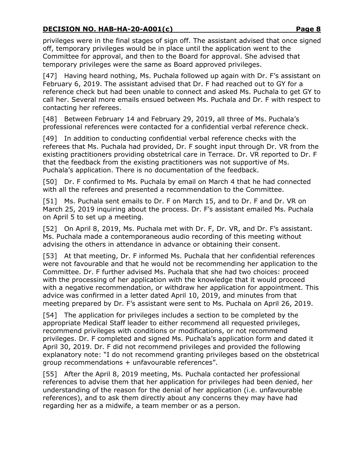privileges were in the final stages of sign off. The assistant advised that once signed off, temporary privileges would be in place until the application went to the Committee for approval, and then to the Board for approval. She advised that temporary privileges were the same as Board approved privileges.

[47] Having heard nothing, Ms. Puchala followed up again with Dr. F's assistant on February 6, 2019. The assistant advised that Dr. F had reached out to GY for a reference check but had been unable to connect and asked Ms. Puchala to get GY to call her. Several more emails ensued between Ms. Puchala and Dr. F with respect to contacting her referees.

[48] Between February 14 and February 29, 2019, all three of Ms. Puchala's professional references were contacted for a confidential verbal reference check.

[49] In addition to conducting confidential verbal reference checks with the referees that Ms. Puchala had provided, Dr. F sought input through Dr. VR from the existing practitioners providing obstetrical care in Terrace. Dr. VR reported to Dr. F that the feedback from the existing practitioners was not supportive of Ms. Puchala's application. There is no documentation of the feedback.

[50] Dr. F confirmed to Ms. Puchala by email on March 4 that he had connected with all the referees and presented a recommendation to the Committee.

[51] Ms. Puchala sent emails to Dr. F on March 15, and to Dr. F and Dr. VR on March 25, 2019 inquiring about the process. Dr. F's assistant emailed Ms. Puchala on April 5 to set up a meeting.

[52] On April 8, 2019, Ms. Puchala met with Dr. F, Dr. VR, and Dr. F's assistant. Ms. Puchala made a contemporaneous audio recording of this meeting without advising the others in attendance in advance or obtaining their consent.

[53] At that meeting, Dr. F informed Ms. Puchala that her confidential references were not favourable and that he would not be recommending her application to the Committee. Dr. F further advised Ms. Puchala that she had two choices: proceed with the processing of her application with the knowledge that it would proceed with a negative recommendation, or withdraw her application for appointment. This advice was confirmed in a letter dated April 10, 2019, and minutes from that meeting prepared by Dr. F's assistant were sent to Ms. Puchala on April 26, 2019.

[54] The application for privileges includes a section to be completed by the appropriate Medical Staff leader to either recommend all requested privileges, recommend privileges with conditions or modifications, or not recommend privileges. Dr. F completed and signed Ms. Puchala's application form and dated it April 30, 2019. Dr. F did not recommend privileges and provided the following explanatory note: "I do not recommend granting privileges based on the obstetrical group recommendations + unfavourable references".

[55] After the April 8, 2019 meeting, Ms. Puchala contacted her professional references to advise them that her application for privileges had been denied, her understanding of the reason for the denial of her application (i.e. unfavourable references), and to ask them directly about any concerns they may have had regarding her as a midwife, a team member or as a person.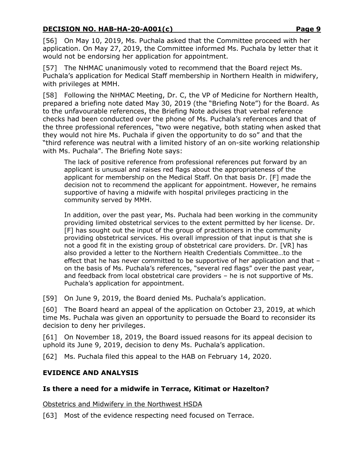[56] On May 10, 2019, Ms. Puchala asked that the Committee proceed with her application. On May 27, 2019, the Committee informed Ms. Puchala by letter that it would not be endorsing her application for appointment.

[57] The NHMAC unanimously voted to recommend that the Board reject Ms. Puchala's application for Medical Staff membership in Northern Health in midwifery, with privileges at MMH.

[58] Following the NHMAC Meeting, Dr. C, the VP of Medicine for Northern Health, prepared a briefing note dated May 30, 2019 (the "Briefing Note") for the Board. As to the unfavourable references, the Briefing Note advises that verbal reference checks had been conducted over the phone of Ms. Puchala's references and that of the three professional references, "two were negative, both stating when asked that they would not hire Ms. Puchala if given the opportunity to do so" and that the "third reference was neutral with a limited history of an on-site working relationship with Ms. Puchala". The Briefing Note says:

The lack of positive reference from professional references put forward by an applicant is unusual and raises red flags about the appropriateness of the applicant for membership on the Medical Staff. On that basis Dr. [F] made the decision not to recommend the applicant for appointment. However, he remains supportive of having a midwife with hospital privileges practicing in the community served by MMH.

In addition, over the past year, Ms. Puchala had been working in the community providing limited obstetrical services to the extent permitted by her license. Dr. [F] has sought out the input of the group of practitioners in the community providing obstetrical services. His overall impression of that input is that she is not a good fit in the existing group of obstetrical care providers. Dr. [VR] has also provided a letter to the Northern Health Credentials Committee…to the effect that he has never committed to be supportive of her application and that – on the basis of Ms. Puchala's references, "several red flags" over the past year, and feedback from local obstetrical care providers – he is not supportive of Ms. Puchala's application for appointment.

[59] On June 9, 2019, the Board denied Ms. Puchala's application.

[60] The Board heard an appeal of the application on October 23, 2019, at which time Ms. Puchala was given an opportunity to persuade the Board to reconsider its decision to deny her privileges.

[61] On November 18, 2019, the Board issued reasons for its appeal decision to uphold its June 9, 2019, decision to deny Ms. Puchala's application.

[62] Ms. Puchala filed this appeal to the HAB on February 14, 2020.

### **EVIDENCE AND ANALYSIS**

### **Is there a need for a midwife in Terrace, Kitimat or Hazelton?**

Obstetrics and Midwifery in the Northwest HSDA

[63] Most of the evidence respecting need focused on Terrace.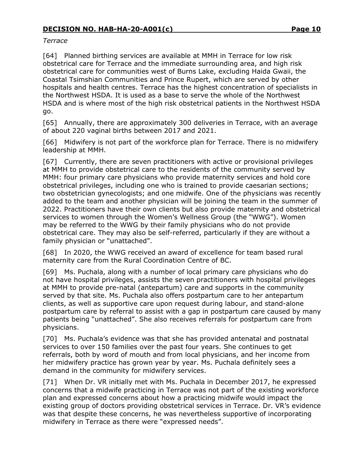#### *Terrace*

[64] Planned birthing services are available at MMH in Terrace for low risk obstetrical care for Terrace and the immediate surrounding area, and high risk obstetrical care for communities west of Burns Lake, excluding Haida Gwaii, the Coastal Tsimshian Communities and Prince Rupert, which are served by other hospitals and health centres. Terrace has the highest concentration of specialists in the Northwest HSDA. It is used as a base to serve the whole of the Northwest HSDA and is where most of the high risk obstetrical patients in the Northwest HSDA go.

[65] Annually, there are approximately 300 deliveries in Terrace, with an average of about 220 vaginal births between 2017 and 2021.

[66] Midwifery is not part of the workforce plan for Terrace. There is no midwifery leadership at MMH.

[67] Currently, there are seven practitioners with active or provisional privileges at MMH to provide obstetrical care to the residents of the community served by MMH: four primary care physicians who provide maternity services and hold core obstetrical privileges, including one who is trained to provide caesarian sections; two obstetrician gynecologists; and one midwife. One of the physicians was recently added to the team and another physician will be joining the team in the summer of 2022. Practitioners have their own clients but also provide maternity and obstetrical services to women through the Women's Wellness Group (the "WWG"). Women may be referred to the WWG by their family physicians who do not provide obstetrical care. They may also be self-referred, particularly if they are without a family physician or "unattached".

[68] In 2020, the WWG received an award of excellence for team based rural maternity care from the Rural Coordination Centre of BC.

[69] Ms. Puchala, along with a number of local primary care physicians who do not have hospital privileges, assists the seven practitioners with hospital privileges at MMH to provide pre-natal (antepartum) care and supports in the community served by that site. Ms. Puchala also offers postpartum care to her antepartum clients, as well as supportive care upon request during labour, and stand-alone postpartum care by referral to assist with a gap in postpartum care caused by many patients being "unattached". She also receives referrals for postpartum care from physicians.

[70] Ms. Puchala's evidence was that she has provided antenatal and postnatal services to over 150 families over the past four years. She continues to get referrals, both by word of mouth and from local physicians, and her income from her midwifery practice has grown year by year. Ms. Puchala definitely sees a demand in the community for midwifery services.

[71] When Dr. VR initially met with Ms. Puchala in December 2017, he expressed concerns that a midwife practicing in Terrace was not part of the existing workforce plan and expressed concerns about how a practicing midwife would impact the existing group of doctors providing obstetrical services in Terrace. Dr. VR's evidence was that despite these concerns, he was nevertheless supportive of incorporating midwifery in Terrace as there were "expressed needs".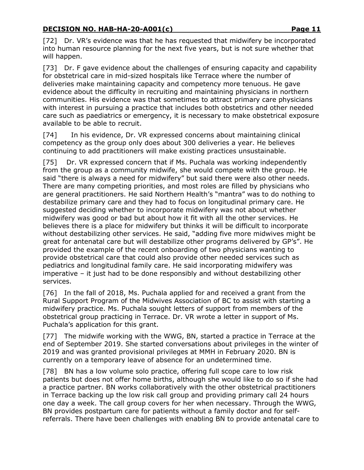[72] Dr. VR's evidence was that he has requested that midwifery be incorporated into human resource planning for the next five years, but is not sure whether that will happen.

[73] Dr. F gave evidence about the challenges of ensuring capacity and capability for obstetrical care in mid-sized hospitals like Terrace where the number of deliveries make maintaining capacity and competency more tenuous. He gave evidence about the difficulty in recruiting and maintaining physicians in northern communities. His evidence was that sometimes to attract primary care physicians with interest in pursuing a practice that includes both obstetrics and other needed care such as paediatrics or emergency, it is necessary to make obstetrical exposure available to be able to recruit.

[74] In his evidence, Dr. VR expressed concerns about maintaining clinical competency as the group only does about 300 deliveries a year. He believes continuing to add practitioners will make existing practices unsustainable.

[75] Dr. VR expressed concern that if Ms. Puchala was working independently from the group as a community midwife, she would compete with the group. He said "there is always a need for midwifery" but said there were also other needs. There are many competing priorities, and most roles are filled by physicians who are general practitioners. He said Northern Health's "mantra" was to do nothing to destabilize primary care and they had to focus on longitudinal primary care. He suggested deciding whether to incorporate midwifery was not about whether midwifery was good or bad but about how it fit with all the other services. He believes there is a place for midwifery but thinks it will be difficult to incorporate without destabilizing other services. He said, "adding five more midwives might be great for antenatal care but will destabilize other programs delivered by GP's". He provided the example of the recent onboarding of two physicians wanting to provide obstetrical care that could also provide other needed services such as pediatrics and longitudinal family care. He said incorporating midwifery was imperative – it just had to be done responsibly and without destabilizing other services.

[76] In the fall of 2018, Ms. Puchala applied for and received a grant from the Rural Support Program of the Midwives Association of BC to assist with starting a midwifery practice. Ms. Puchala sought letters of support from members of the obstetrical group practicing in Terrace. Dr. VR wrote a letter in support of Ms. Puchala's application for this grant.

[77] The midwife working with the WWG, BN, started a practice in Terrace at the end of September 2019. She started conversations about privileges in the winter of 2019 and was granted provisional privileges at MMH in February 2020. BN is currently on a temporary leave of absence for an undetermined time.

[78] BN has a low volume solo practice, offering full scope care to low risk patients but does not offer home births, although she would like to do so if she had a practice partner. BN works collaboratively with the other obstetrical practitioners in Terrace backing up the low risk call group and providing primary call 24 hours one day a week. The call group covers for her when necessary. Through the WWG, BN provides postpartum care for patients without a family doctor and for selfreferrals. There have been challenges with enabling BN to provide antenatal care to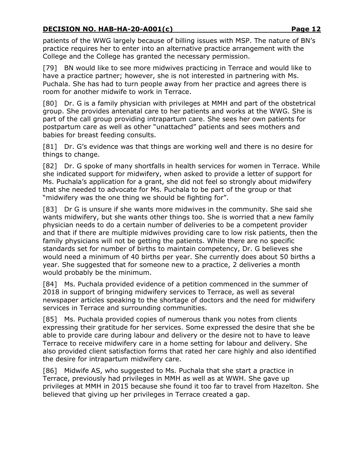patients of the WWG largely because of billing issues with MSP. The nature of BN's practice requires her to enter into an alternative practice arrangement with the College and the College has granted the necessary permission.

[79] BN would like to see more midwives practicing in Terrace and would like to have a practice partner; however, she is not interested in partnering with Ms. Puchala. She has had to turn people away from her practice and agrees there is room for another midwife to work in Terrace.

[80] Dr. G is a family physician with privileges at MMH and part of the obstetrical group. She provides antenatal care to her patients and works at the WWG. She is part of the call group providing intrapartum care. She sees her own patients for postpartum care as well as other "unattached" patients and sees mothers and babies for breast feeding consults.

[81] Dr. G's evidence was that things are working well and there is no desire for things to change.

[82] Dr. G spoke of many shortfalls in health services for women in Terrace. While she indicated support for midwifery, when asked to provide a letter of support for Ms. Puchala's application for a grant, she did not feel so strongly about midwifery that she needed to advocate for Ms. Puchala to be part of the group or that "midwifery was the one thing we should be fighting for".

[83] Dr G is unsure if she wants more midwives in the community. She said she wants midwifery, but she wants other things too. She is worried that a new family physician needs to do a certain number of deliveries to be a competent provider and that if there are multiple midwives providing care to low risk patients, then the family physicians will not be getting the patients. While there are no specific standards set for number of births to maintain competency, Dr. G believes she would need a minimum of 40 births per year. She currently does about 50 births a year. She suggested that for someone new to a practice, 2 deliveries a month would probably be the minimum.

[84] Ms. Puchala provided evidence of a petition commenced in the summer of 2018 in support of bringing midwifery services to Terrace, as well as several newspaper articles speaking to the shortage of doctors and the need for midwifery services in Terrace and surrounding communities.

[85] Ms. Puchala provided copies of numerous thank you notes from clients expressing their gratitude for her services. Some expressed the desire that she be able to provide care during labour and delivery or the desire not to have to leave Terrace to receive midwifery care in a home setting for labour and delivery. She also provided client satisfaction forms that rated her care highly and also identified the desire for intrapartum midwifery care.

[86] Midwife AS, who suggested to Ms. Puchala that she start a practice in Terrace, previously had privileges in MMH as well as at WWH. She gave up privileges at MMH in 2015 because she found it too far to travel from Hazelton. She believed that giving up her privileges in Terrace created a gap.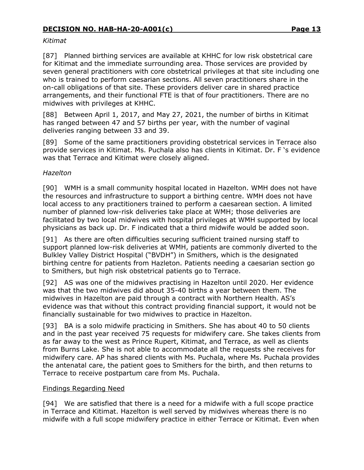#### *Kitimat*

[87] Planned birthing services are available at KHHC for low risk obstetrical care for Kitimat and the immediate surrounding area. Those services are provided by seven general practitioners with core obstetrical privileges at that site including one who is trained to perform caesarian sections. All seven practitioners share in the on-call obligations of that site. These providers deliver care in shared practice arrangements, and their functional FTE is that of four practitioners. There are no midwives with privileges at KHHC.

[88] Between April 1, 2017, and May 27, 2021, the number of births in Kitimat has ranged between 47 and 57 births per year, with the number of vaginal deliveries ranging between 33 and 39.

[89] Some of the same practitioners providing obstetrical services in Terrace also provide services in Kitimat. Ms. Puchala also has clients in Kitimat. Dr. F 's evidence was that Terrace and Kitimat were closely aligned.

#### *Hazelton*

[90] WMH is a small community hospital located in Hazelton. WMH does not have the resources and infrastructure to support a birthing centre. WMH does not have local access to any practitioners trained to perform a caesarean section. A limited number of planned low-risk deliveries take place at WMH; those deliveries are facilitated by two local midwives with hospital privileges at WMH supported by local physicians as back up. Dr. F indicated that a third midwife would be added soon.

[91] As there are often difficulties securing sufficient trained nursing staff to support planned low-risk deliveries at WMH, patients are commonly diverted to the Bulkley Valley District Hospital ("BVDH") in Smithers, which is the designated birthing centre for patients from Hazleton. Patients needing a caesarian section go to Smithers, but high risk obstetrical patients go to Terrace.

[92] AS was one of the midwives practising in Hazelton until 2020. Her evidence was that the two midwives did about 35-40 births a year between them. The midwives in Hazelton are paid through a contract with Northern Health. AS's evidence was that without this contract providing financial support, it would not be financially sustainable for two midwives to practice in Hazelton.

[93] BA is a solo midwife practicing in Smithers. She has about 40 to 50 clients and in the past year received 75 requests for midwifery care. She takes clients from as far away to the west as Prince Rupert, Kitimat, and Terrace, as well as clients from Burns Lake. She is not able to accommodate all the requests she receives for midwifery care. AP has shared clients with Ms. Puchala, where Ms. Puchala provides the antenatal care, the patient goes to Smithers for the birth, and then returns to Terrace to receive postpartum care from Ms. Puchala.

#### Findings Regarding Need

[94] We are satisfied that there is a need for a midwife with a full scope practice in Terrace and Kitimat. Hazelton is well served by midwives whereas there is no midwife with a full scope midwifery practice in either Terrace or Kitimat. Even when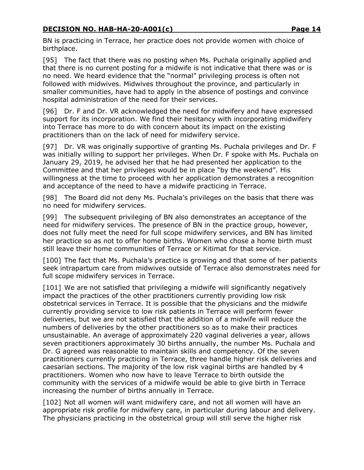BN is practicing in Terrace, her practice does not provide women with choice of birthplace.

[95] The fact that there was no posting when Ms. Puchala originally applied and that there is no current posting for a midwife is not indicative that there was or is no need. We heard evidence that the "normal" privileging process is often not followed with midwives. Midwives throughout the province, and particularly in smaller communities, have had to apply in the absence of postings and convince hospital administration of the need for their services.

[96] Dr. F and Dr. VR acknowledged the need for midwifery and have expressed support for its incorporation. We find their hesitancy with incorporating midwifery into Terrace has more to do with concern about its impact on the existing practitioners than on the lack of need for midwifery service.

[97] Dr. VR was originally supportive of granting Ms. Puchala privileges and Dr. F was initially willing to support her privileges. When Dr. F spoke with Ms. Puchala on January 29, 2019, he advised her that he had presented her application to the Committee and that her privileges would be in place "by the weekend". His willingness at the time to proceed with her application demonstrates a recognition and acceptance of the need to have a midwife practicing in Terrace.

[98] The Board did not deny Ms. Puchala's privileges on the basis that there was no need for midwifery services.

[99] The subsequent privileging of BN also demonstrates an acceptance of the need for midwifery services. The presence of BN in the practice group, however, does not fully meet the need for full scope midwifery services, and BN has limited her practice so as not to offer home births. Women who chose a home birth must still leave their home communities of Terrace or Kitimat for that service.

[100] The fact that Ms. Puchala's practice is growing and that some of her patients seek intrapartum care from midwives outside of Terrace also demonstrates need for full scope midwifery services in Terrace.

[101] We are not satisfied that privileging a midwife will significantly negatively impact the practices of the other practitioners currently providing low risk obstetrical services in Terrace. It is possible that the physicians and the midwife currently providing service to low risk patients in Terrace will perform fewer deliveries, but we are not satisfied that the addition of a midwife will reduce the numbers of deliveries by the other practitioners so as to make their practices unsustainable. An average of approximately 220 vaginal deliveries a year, allows seven practitioners approximately 30 births annually, the number Ms. Puchala and Dr. G agreed was reasonable to maintain skills and competency. Of the seven practitioners currently practicing in Terrace, three handle higher risk deliveries and caesarian sections. The majority of the low risk vaginal births are handled by 4 practitioners. Women who now have to leave Terrace to birth outside the community with the services of a midwife would be able to give birth in Terrace increasing the number of births annually in Terrace.

[102] Not all women will want midwifery care, and not all women will have an appropriate risk profile for midwifery care, in particular during labour and delivery. The physicians practicing in the obstetrical group will still serve the higher risk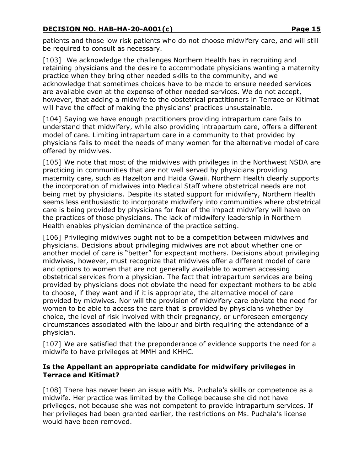patients and those low risk patients who do not choose midwifery care, and will still be required to consult as necessary.

[103] We acknowledge the challenges Northern Health has in recruiting and retaining physicians and the desire to accommodate physicians wanting a maternity practice when they bring other needed skills to the community, and we acknowledge that sometimes choices have to be made to ensure needed services are available even at the expense of other needed services. We do not accept, however, that adding a midwife to the obstetrical practitioners in Terrace or Kitimat will have the effect of making the physicians' practices unsustainable.

[104] Saying we have enough practitioners providing intrapartum care fails to understand that midwifery, while also providing intrapartum care, offers a different model of care. Limiting intrapartum care in a community to that provided by physicians fails to meet the needs of many women for the alternative model of care offered by midwives.

[105] We note that most of the midwives with privileges in the Northwest NSDA are practicing in communities that are not well served by physicians providing maternity care, such as Hazelton and Haida Gwaii. Northern Health clearly supports the incorporation of midwives into Medical Staff where obstetrical needs are not being met by physicians. Despite its stated support for midwifery, Northern Health seems less enthusiastic to incorporate midwifery into communities where obstetrical care is being provided by physicians for fear of the impact midwifery will have on the practices of those physicians. The lack of midwifery leadership in Northern Health enables physician dominance of the practice setting.

[106] Privileging midwives ought not to be a competition between midwives and physicians. Decisions about privileging midwives are not about whether one or another model of care is "better" for expectant mothers. Decisions about privileging midwives, however, must recognize that midwives offer a different model of care and options to women that are not generally available to women accessing obstetrical services from a physician. The fact that intrapartum services are being provided by physicians does not obviate the need for expectant mothers to be able to choose, if they want and if it is appropriate, the alternative model of care provided by midwives. Nor will the provision of midwifery care obviate the need for women to be able to access the care that is provided by physicians whether by choice, the level of risk involved with their pregnancy, or unforeseen emergency circumstances associated with the labour and birth requiring the attendance of a physician.

[107] We are satisfied that the preponderance of evidence supports the need for a midwife to have privileges at MMH and KHHC.

#### **Is the Appellant an appropriate candidate for midwifery privileges in Terrace and Kitimat?**

[108] There has never been an issue with Ms. Puchala's skills or competence as a midwife. Her practice was limited by the College because she did not have privileges, not because she was not competent to provide intrapartum services. If her privileges had been granted earlier, the restrictions on Ms. Puchala's license would have been removed.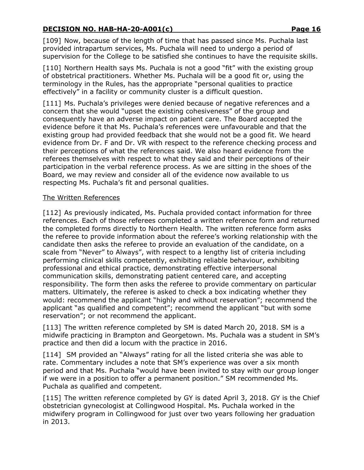[109] Now, because of the length of time that has passed since Ms. Puchala last provided intrapartum services, Ms. Puchala will need to undergo a period of supervision for the College to be satisfied she continues to have the requisite skills.

[110] Northern Health says Ms. Puchala is not a good "fit" with the existing group of obstetrical practitioners. Whether Ms. Puchala will be a good fit or, using the terminology in the Rules, has the appropriate "personal qualities to practice effectively" in a facility or community cluster is a difficult question.

[111] Ms. Puchala's privileges were denied because of negative references and a concern that she would "upset the existing cohesiveness" of the group and consequently have an adverse impact on patient care. The Board accepted the evidence before it that Ms. Puchala's references were unfavourable and that the existing group had provided feedback that she would not be a good fit. We heard evidence from Dr. F and Dr. VR with respect to the reference checking process and their perceptions of what the references said. We also heard evidence from the referees themselves with respect to what they said and their perceptions of their participation in the verbal reference process. As we are sitting in the shoes of the Board, we may review and consider all of the evidence now available to us respecting Ms. Puchala's fit and personal qualities.

#### The Written References

[112] As previously indicated, Ms. Puchala provided contact information for three references. Each of those referees completed a written reference form and returned the completed forms directly to Northern Health. The written reference form asks the referee to provide information about the referee's working relationship with the candidate then asks the referee to provide an evaluation of the candidate, on a scale from "Never" to Always", with respect to a lengthy list of criteria including performing clinical skills competently, exhibiting reliable behaviour, exhibiting professional and ethical practice, demonstrating effective interpersonal communication skills, demonstrating patient centered care, and accepting responsibility. The form then asks the referee to provide commentary on particular matters. Ultimately, the referee is asked to check a box indicating whether they would: recommend the applicant "highly and without reservation"; recommend the applicant "as qualified and competent"; recommend the applicant "but with some reservation"; or not recommend the applicant.

[113] The written reference completed by SM is dated March 20, 2018. SM is a midwife practicing in Brampton and Georgetown. Ms. Puchala was a student in SM's practice and then did a locum with the practice in 2016.

[114] SM provided an "Always" rating for all the listed criteria she was able to rate. Commentary includes a note that SM's experience was over a six month period and that Ms. Puchala "would have been invited to stay with our group longer if we were in a position to offer a permanent position." SM recommended Ms. Puchala as qualified and competent.

[115] The written reference completed by GY is dated April 3, 2018. GY is the Chief obstetrician gynecologist at Collingwood Hospital. Ms. Puchala worked in the midwifery program in Collingwood for just over two years following her graduation in 2013.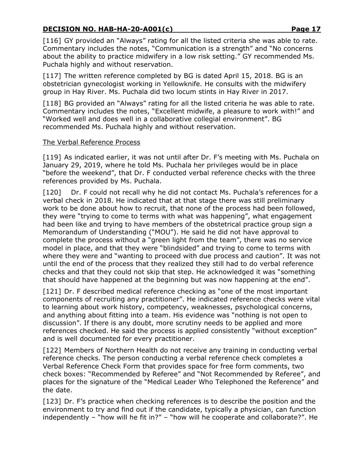[116] GY provided an "Always" rating for all the listed criteria she was able to rate. Commentary includes the notes, "Communication is a strength" and "No concerns about the ability to practice midwifery in a low risk setting." GY recommended Ms. Puchala highly and without reservation.

[117] The written reference completed by BG is dated April 15, 2018. BG is an obstetrician gynecologist working in Yellowknife. He consults with the midwifery group in Hay River. Ms. Puchala did two locum stints in Hay River in 2017.

[118] BG provided an "Always" rating for all the listed criteria he was able to rate. Commentary includes the notes, "Excellent midwife, a pleasure to work with!" and "Worked well and does well in a collaborative collegial environment". BG recommended Ms. Puchala highly and without reservation.

#### The Verbal Reference Process

[119] As indicated earlier, it was not until after Dr. F's meeting with Ms. Puchala on January 29, 2019, where he told Ms. Puchala her privileges would be in place "before the weekend", that Dr. F conducted verbal reference checks with the three references provided by Ms. Puchala.

[120] Dr. F could not recall why he did not contact Ms. Puchala's references for a verbal check in 2018. He indicated that at that stage there was still preliminary work to be done about how to recruit, that none of the process had been followed, they were "trying to come to terms with what was happening", what engagement had been like and trying to have members of the obstetrical practice group sign a Memorandum of Understanding ("MOU"). He said he did not have approval to complete the process without a "green light from the team", there was no service model in place, and that they were "blindsided" and trying to come to terms with where they were and "wanting to proceed with due process and caution". It was not until the end of the process that they realized they still had to do verbal reference checks and that they could not skip that step. He acknowledged it was "something that should have happened at the beginning but was now happening at the end".

[121] Dr. F described medical reference checking as "one of the most important components of recruiting any practitioner". He indicated reference checks were vital to learning about work history, competency, weaknesses, psychological concerns, and anything about fitting into a team. His evidence was "nothing is not open to discussion". If there is any doubt, more scrutiny needs to be applied and more references checked. He said the process is applied consistently "without exception" and is well documented for every practitioner.

[122] Members of Northern Health do not receive any training in conducting verbal reference checks. The person conducting a verbal reference check completes a Verbal Reference Check Form that provides space for free form comments, two check boxes: "Recommended by Referee" and "Not Recommended by Referee", and places for the signature of the "Medical Leader Who Telephoned the Reference" and the date.

[123] Dr. F's practice when checking references is to describe the position and the environment to try and find out if the candidate, typically a physician, can function independently – "how will he fit in?" – "how will he cooperate and collaborate?". He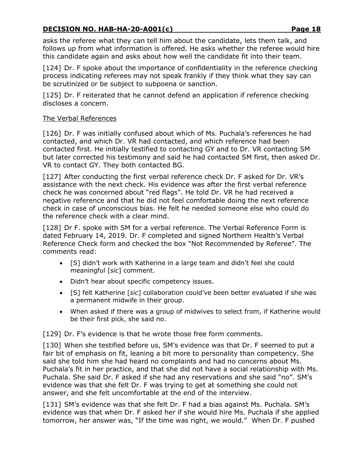asks the referee what they can tell him about the candidate, lets them talk, and follows up from what information is offered. He asks whether the referee would hire this candidate again and asks about how well the candidate fit into their team.

[124] Dr. F spoke about the importance of confidentiality in the reference checking process indicating referees may not speak frankly if they think what they say can be scrutinized or be subject to subpoena or sanction.

[125] Dr. F reiterated that he cannot defend an application if reference checking discloses a concern.

#### The Verbal References

[126] Dr. F was initially confused about which of Ms. Puchala's references he had contacted, and which Dr. VR had contacted, and which reference had been contacted first. He initially testified to contacting GY and to Dr. VR contacting SM but later corrected his testimony and said he had contacted SM first, then asked Dr. VR to contact GY. They both contacted BG.

[127] After conducting the first verbal reference check Dr. F asked for Dr. VR's assistance with the next check. His evidence was after the first verbal reference check he was concerned about "red flags". He told Dr. VR he had received a negative reference and that he did not feel comfortable doing the next reference check in case of unconscious bias. He felt he needed someone else who could do the reference check with a clear mind.

[128] Dr F. spoke with SM for a verbal reference. The Verbal Reference Form is dated February 14, 2019. Dr. F completed and signed Northern Health's Verbal Reference Check form and checked the box "Not Recommended by Referee". The comments read:

- [S] didn't work with Katherine in a large team and didn't feel she could meaningful [*sic*] comment.
- Didn't hear about specific competency issues.
- [S] felt Katherine [*sic*] collaboration could've been better evaluated if she was a permanent midwife in their group.
- When asked if there was a group of midwives to select from, if Katherine would be their first pick, she said no.

[129] Dr. F's evidence is that he wrote those free form comments.

[130] When she testified before us, SM's evidence was that Dr. F seemed to put a fair bit of emphasis on fit, leaning a bit more to personality than competency. She said she told him she had heard no complaints and had no concerns about Ms. Puchala's fit in her practice, and that she did not have a social relationship with Ms. Puchala. She said Dr. F asked if she had any reservations and she said "no". SM's evidence was that she felt Dr. F was trying to get at something she could not answer, and she felt uncomfortable at the end of the interview.

[131] SM's evidence was that she felt Dr. F had a bias against Ms. Puchala. SM's evidence was that when Dr. F asked her if she would hire Ms. Puchala if she applied tomorrow, her answer was, "If the time was right, we would." When Dr. F pushed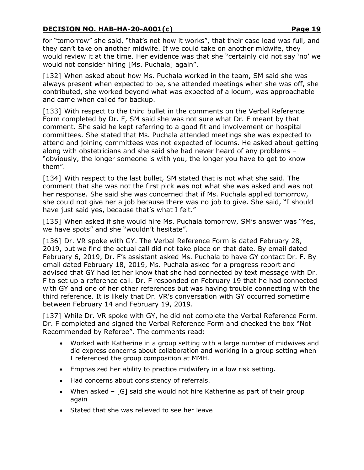for "tomorrow" she said, "that's not how it works", that their case load was full, and they can't take on another midwife. If we could take on another midwife, they would review it at the time. Her evidence was that she "certainly did not say 'no' we would not consider hiring [Ms. Puchala] again".

[132] When asked about how Ms. Puchala worked in the team, SM said she was always present when expected to be, she attended meetings when she was off, she contributed, she worked beyond what was expected of a locum, was approachable and came when called for backup.

[133] With respect to the third bullet in the comments on the Verbal Reference Form completed by Dr. F, SM said she was not sure what Dr. F meant by that comment. She said he kept referring to a good fit and involvement on hospital committees. She stated that Ms. Puchala attended meetings she was expected to attend and joining committees was not expected of locums. He asked about getting along with obstetricians and she said she had never heard of any problems – "obviously, the longer someone is with you, the longer you have to get to know them".

[134] With respect to the last bullet, SM stated that is not what she said. The comment that she was not the first pick was not what she was asked and was not her response. She said she was concerned that if Ms. Puchala applied tomorrow, she could not give her a job because there was no job to give. She said, "I should have just said yes, because that's what I felt."

[135] When asked if she would hire Ms. Puchala tomorrow, SM's answer was "Yes, we have spots" and she "wouldn't hesitate".

[136] Dr. VR spoke with GY. The Verbal Reference Form is dated February 28, 2019, but we find the actual call did not take place on that date. By email dated February 6, 2019, Dr. F's assistant asked Ms. Puchala to have GY contact Dr. F. By email dated February 18, 2019, Ms. Puchala asked for a progress report and advised that GY had let her know that she had connected by text message with Dr. F to set up a reference call. Dr. F responded on February 19 that he had connected with GY and one of her other references but was having trouble connecting with the third reference. It is likely that Dr. VR's conversation with GY occurred sometime between February 14 and February 19, 2019.

[137] While Dr. VR spoke with GY, he did not complete the Verbal Reference Form. Dr. F completed and signed the Verbal Reference Form and checked the box "Not Recommended by Referee". The comments read:

- Worked with Katherine in a group setting with a large number of midwives and did express concerns about collaboration and working in a group setting when I referenced the group composition at MMH.
- Emphasized her ability to practice midwifery in a low risk setting.
- Had concerns about consistency of referrals.
- When asked [G] said she would not hire Katherine as part of their group again
- Stated that she was relieved to see her leave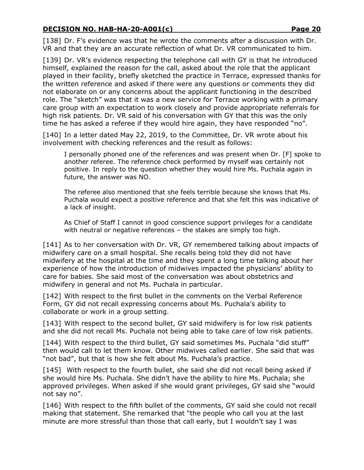[138] Dr. F's evidence was that he wrote the comments after a discussion with Dr. VR and that they are an accurate reflection of what Dr. VR communicated to him.

[139] Dr. VR's evidence respecting the telephone call with GY is that he introduced himself, explained the reason for the call, asked about the role that the applicant played in their facility, briefly sketched the practice in Terrace, expressed thanks for the written reference and asked if there were any questions or comments they did not elaborate on or any concerns about the applicant functioning in the described role. The "sketch" was that it was a new service for Terrace working with a primary care group with an expectation to work closely and provide appropriate referrals for high risk patients. Dr. VR said of his conversation with GY that this was the only time he has asked a referee if they would hire again, they have responded "no".

[140] In a letter dated May 22, 2019, to the Committee, Dr. VR wrote about his involvement with checking references and the result as follows:

I personally phoned one of the references and was present when Dr. [F] spoke to another referee. The reference check performed by myself was certainly not positive. In reply to the question whether they would hire Ms. Puchala again in future, the answer was NO.

The referee also mentioned that she feels terrible because she knows that Ms. Puchala would expect a positive reference and that she felt this was indicative of a lack of insight.

As Chief of Staff I cannot in good conscience support privileges for a candidate with neutral or negative references – the stakes are simply too high.

[141] As to her conversation with Dr. VR, GY remembered talking about impacts of midwifery care on a small hospital. She recalls being told they did not have midwifery at the hospital at the time and they spent a long time talking about her experience of how the introduction of midwives impacted the physicians' ability to care for babies. She said most of the conversation was about obstetrics and midwifery in general and not Ms. Puchala in particular.

[142] With respect to the first bullet in the comments on the Verbal Reference Form, GY did not recall expressing concerns about Ms. Puchala's ability to collaborate or work in a group setting.

[143] With respect to the second bullet, GY said midwifery is for low risk patients and she did not recall Ms. Puchala not being able to take care of low risk patients.

[144] With respect to the third bullet, GY said sometimes Ms. Puchala "did stuff" then would call to let them know. Other midwives called earlier. She said that was "not bad", but that is how she felt about Ms. Puchala's practice.

[145] With respect to the fourth bullet, she said she did not recall being asked if she would hire Ms. Puchala. She didn't have the ability to hire Ms. Puchala; she approved privileges. When asked if she would grant privileges, GY said she "would not say no".

[146] With respect to the fifth bullet of the comments, GY said she could not recall making that statement. She remarked that "the people who call you at the last minute are more stressful than those that call early, but I wouldn't say I was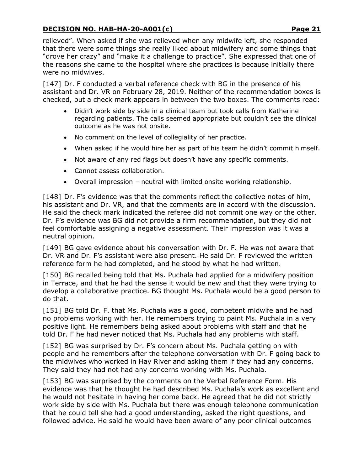relieved". When asked if she was relieved when any midwife left, she responded that there were some things she really liked about midwifery and some things that "drove her crazy" and "make it a challenge to practice". She expressed that one of the reasons she came to the hospital where she practices is because initially there were no midwives.

[147] Dr. F conducted a verbal reference check with BG in the presence of his assistant and Dr. VR on February 28, 2019. Neither of the recommendation boxes is checked, but a check mark appears in between the two boxes. The comments read:

- Didn't work side by side in a clinical team but took calls from Katherine regarding patients. The calls seemed appropriate but couldn't see the clinical outcome as he was not onsite.
- No comment on the level of collegiality of her practice.
- When asked if he would hire her as part of his team he didn't commit himself.
- Not aware of any red flags but doesn't have any specific comments.
- Cannot assess collaboration.
- Overall impression neutral with limited onsite working relationship.

[148] Dr. F's evidence was that the comments reflect the collective notes of him, his assistant and Dr. VR, and that the comments are in accord with the discussion. He said the check mark indicated the referee did not commit one way or the other. Dr. F's evidence was BG did not provide a firm recommendation, but they did not feel comfortable assigning a negative assessment. Their impression was it was a neutral opinion.

[149] BG gave evidence about his conversation with Dr. F. He was not aware that Dr. VR and Dr. F's assistant were also present. He said Dr. F reviewed the written reference form he had completed, and he stood by what he had written.

[150] BG recalled being told that Ms. Puchala had applied for a midwifery position in Terrace, and that he had the sense it would be new and that they were trying to develop a collaborative practice. BG thought Ms. Puchala would be a good person to do that.

[151] BG told Dr. F. that Ms. Puchala was a good, competent midwife and he had no problems working with her. He remembers trying to paint Ms. Puchala in a very positive light. He remembers being asked about problems with staff and that he told Dr. F he had never noticed that Ms. Puchala had any problems with staff.

[152] BG was surprised by Dr. F's concern about Ms. Puchala getting on with people and he remembers after the telephone conversation with Dr. F going back to the midwives who worked in Hay River and asking them if they had any concerns. They said they had not had any concerns working with Ms. Puchala.

[153] BG was surprised by the comments on the Verbal Reference Form. His evidence was that he thought he had described Ms. Puchala's work as excellent and he would not hesitate in having her come back. He agreed that he did not strictly work side by side with Ms. Puchala but there was enough telephone communication that he could tell she had a good understanding, asked the right questions, and followed advice. He said he would have been aware of any poor clinical outcomes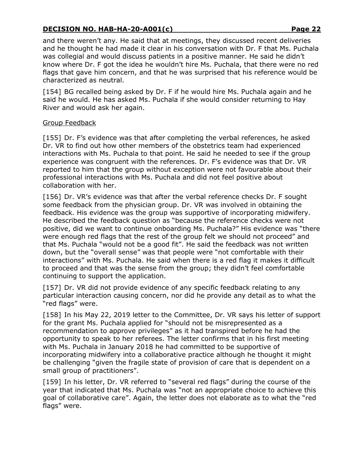and there weren't any. He said that at meetings, they discussed recent deliveries and he thought he had made it clear in his conversation with Dr. F that Ms. Puchala was collegial and would discuss patients in a positive manner. He said he didn't know where Dr. F got the idea he wouldn't hire Ms. Puchala, that there were no red flags that gave him concern, and that he was surprised that his reference would be characterized as neutral.

[154] BG recalled being asked by Dr. F if he would hire Ms. Puchala again and he said he would. He has asked Ms. Puchala if she would consider returning to Hay River and would ask her again.

#### Group Feedback

[155] Dr. F's evidence was that after completing the verbal references, he asked Dr. VR to find out how other members of the obstetrics team had experienced interactions with Ms. Puchala to that point. He said he needed to see if the group experience was congruent with the references. Dr. F's evidence was that Dr. VR reported to him that the group without exception were not favourable about their professional interactions with Ms. Puchala and did not feel positive about collaboration with her.

[156] Dr. VR's evidence was that after the verbal reference checks Dr. F sought some feedback from the physician group. Dr. VR was involved in obtaining the feedback. His evidence was the group was supportive of incorporating midwifery. He described the feedback question as "because the reference checks were not positive, did we want to continue onboarding Ms. Puchala?" His evidence was "there were enough red flags that the rest of the group felt we should not proceed" and that Ms. Puchala "would not be a good fit". He said the feedback was not written down, but the "overall sense" was that people were "not comfortable with their interactions" with Ms. Puchala. He said when there is a red flag it makes it difficult to proceed and that was the sense from the group; they didn't feel comfortable continuing to support the application.

[157] Dr. VR did not provide evidence of any specific feedback relating to any particular interaction causing concern, nor did he provide any detail as to what the "red flags" were.

[158] In his May 22, 2019 letter to the Committee, Dr. VR says his letter of support for the grant Ms. Puchala applied for "should not be misrepresented as a recommendation to approve privileges" as it had transpired before he had the opportunity to speak to her referees. The letter confirms that in his first meeting with Ms. Puchala in January 2018 he had committed to be supportive of incorporating midwifery into a collaborative practice although he thought it might be challenging "given the fragile state of provision of care that is dependent on a small group of practitioners".

[159] In his letter, Dr. VR referred to "several red flags" during the course of the year that indicated that Ms. Puchala was "not an appropriate choice to achieve this goal of collaborative care". Again, the letter does not elaborate as to what the "red flags" were.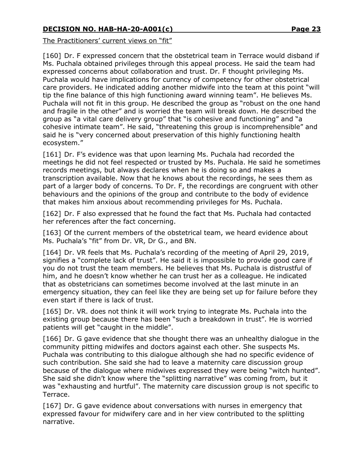The Practitioners' current views on "fit"

[160] Dr. F expressed concern that the obstetrical team in Terrace would disband if Ms. Puchala obtained privileges through this appeal process. He said the team had expressed concerns about collaboration and trust. Dr. F thought privileging Ms. Puchala would have implications for currency of competency for other obstetrical care providers. He indicated adding another midwife into the team at this point "will tip the fine balance of this high functioning award winning team". He believes Ms. Puchala will not fit in this group. He described the group as "robust on the one hand and fragile in the other" and is worried the team will break down. He described the group as "a vital care delivery group" that "is cohesive and functioning" and "a cohesive intimate team". He said, "threatening this group is incomprehensible" and said he is "very concerned about preservation of this highly functioning health ecosystem."

[161] Dr. F's evidence was that upon learning Ms. Puchala had recorded the meetings he did not feel respected or trusted by Ms. Puchala. He said he sometimes records meetings, but always declares when he is doing so and makes a transcription available. Now that he knows about the recordings, he sees them as part of a larger body of concerns. To Dr. F, the recordings are congruent with other behaviours and the opinions of the group and contribute to the body of evidence that makes him anxious about recommending privileges for Ms. Puchala.

[162] Dr. F also expressed that he found the fact that Ms. Puchala had contacted her references after the fact concerning.

[163] Of the current members of the obstetrical team, we heard evidence about Ms. Puchala's "fit" from Dr. VR, Dr G., and BN.

[164] Dr. VR feels that Ms. Puchala's recording of the meeting of April 29, 2019, signifies a "complete lack of trust". He said it is impossible to provide good care if you do not trust the team members. He believes that Ms. Puchala is distrustful of him, and he doesn't know whether he can trust her as a colleague. He indicated that as obstetricians can sometimes become involved at the last minute in an emergency situation, they can feel like they are being set up for failure before they even start if there is lack of trust.

[165] Dr. VR. does not think it will work trying to integrate Ms. Puchala into the existing group because there has been "such a breakdown in trust". He is worried patients will get "caught in the middle".

[166] Dr. G gave evidence that she thought there was an unhealthy dialogue in the community pitting midwifes and doctors against each other. She suspects Ms. Puchala was contributing to this dialogue although she had no specific evidence of such contribution. She said she had to leave a maternity care discussion group because of the dialogue where midwives expressed they were being "witch hunted". She said she didn't know where the "splitting narrative" was coming from, but it was "exhausting and hurtful". The maternity care discussion group is not specific to Terrace.

[167] Dr. G gave evidence about conversations with nurses in emergency that expressed favour for midwifery care and in her view contributed to the splitting narrative.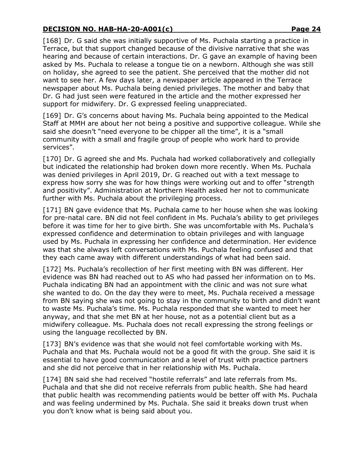[168] Dr. G said she was initially supportive of Ms. Puchala starting a practice in Terrace, but that support changed because of the divisive narrative that she was hearing and because of certain interactions. Dr. G gave an example of having been asked by Ms. Puchala to release a tongue tie on a newborn. Although she was still on holiday, she agreed to see the patient. She perceived that the mother did not want to see her. A few days later, a newspaper article appeared in the Terrace newspaper about Ms. Puchala being denied privileges. The mother and baby that Dr. G had just seen were featured in the article and the mother expressed her support for midwifery. Dr. G expressed feeling unappreciated.

[169] Dr. G's concerns about having Ms. Puchala being appointed to the Medical Staff at MMH are about her not being a positive and supportive colleague. While she said she doesn't "need everyone to be chipper all the time", it is a "small community with a small and fragile group of people who work hard to provide services".

[170] Dr. G agreed she and Ms. Puchala had worked collaboratively and collegially but indicated the relationship had broken down more recently. When Ms. Puchala was denied privileges in April 2019, Dr. G reached out with a text message to express how sorry she was for how things were working out and to offer "strength and positivity". Administration at Northern Health asked her not to communicate further with Ms. Puchala about the privileging process.

[171] BN gave evidence that Ms. Puchala came to her house when she was looking for pre-natal care. BN did not feel confident in Ms. Puchala's ability to get privileges before it was time for her to give birth. She was uncomfortable with Ms. Puchala's expressed confidence and determination to obtain privileges and with language used by Ms. Puchala in expressing her confidence and determination. Her evidence was that she always left conversations with Ms. Puchala feeling confused and that they each came away with different understandings of what had been said.

[172] Ms. Puchala's recollection of her first meeting with BN was different. Her evidence was BN had reached out to AS who had passed her information on to Ms. Puchala indicating BN had an appointment with the clinic and was not sure what she wanted to do. On the day they were to meet, Ms. Puchala received a message from BN saying she was not going to stay in the community to birth and didn't want to waste Ms. Puchala's time. Ms. Puchala responded that she wanted to meet her anyway, and that she met BN at her house, not as a potential client but as a midwifery colleague. Ms. Puchala does not recall expressing the strong feelings or using the language recollected by BN.

[173] BN's evidence was that she would not feel comfortable working with Ms. Puchala and that Ms. Puchala would not be a good fit with the group. She said it is essential to have good communication and a level of trust with practice partners and she did not perceive that in her relationship with Ms. Puchala.

[174] BN said she had received "hostile referrals" and late referrals from Ms. Puchala and that she did not receive referrals from public health. She had heard that public health was recommending patients would be better off with Ms. Puchala and was feeling undermined by Ms. Puchala. She said it breaks down trust when you don't know what is being said about you.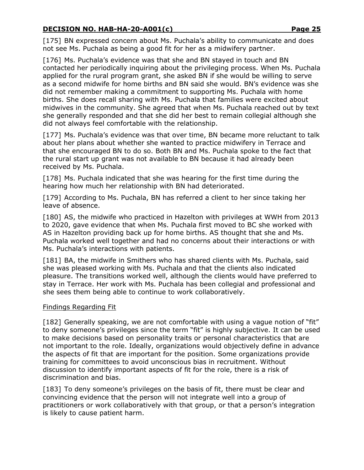[175] BN expressed concern about Ms. Puchala's ability to communicate and does not see Ms. Puchala as being a good fit for her as a midwifery partner.

[176] Ms. Puchala's evidence was that she and BN stayed in touch and BN contacted her periodically inquiring about the privileging process. When Ms. Puchala applied for the rural program grant, she asked BN if she would be willing to serve as a second midwife for home births and BN said she would. BN's evidence was she did not remember making a commitment to supporting Ms. Puchala with home births. She does recall sharing with Ms. Puchala that families were excited about midwives in the community. She agreed that when Ms. Puchala reached out by text she generally responded and that she did her best to remain collegial although she did not always feel comfortable with the relationship.

[177] Ms. Puchala's evidence was that over time, BN became more reluctant to talk about her plans about whether she wanted to practice midwifery in Terrace and that she encouraged BN to do so. Both BN and Ms. Puchala spoke to the fact that the rural start up grant was not available to BN because it had already been received by Ms. Puchala.

[178] Ms. Puchala indicated that she was hearing for the first time during the hearing how much her relationship with BN had deteriorated.

[179] According to Ms. Puchala, BN has referred a client to her since taking her leave of absence.

[180] AS, the midwife who practiced in Hazelton with privileges at WWH from 2013 to 2020, gave evidence that when Ms. Puchala first moved to BC she worked with AS in Hazelton providing back up for home births. AS thought that she and Ms. Puchala worked well together and had no concerns about their interactions or with Ms. Puchala's interactions with patients.

[181] BA, the midwife in Smithers who has shared clients with Ms. Puchala, said she was pleased working with Ms. Puchala and that the clients also indicated pleasure. The transitions worked well, although the clients would have preferred to stay in Terrace. Her work with Ms. Puchala has been collegial and professional and she sees them being able to continue to work collaboratively.

### Findings Regarding Fit

[182] Generally speaking, we are not comfortable with using a vague notion of "fit" to deny someone's privileges since the term "fit" is highly subjective. It can be used to make decisions based on personality traits or personal characteristics that are not important to the role. Ideally, organizations would objectively define in advance the aspects of fit that are important for the position. Some organizations provide training for committees to avoid unconscious bias in recruitment. Without discussion to identify important aspects of fit for the role, there is a risk of discrimination and bias.

[183] To deny someone's privileges on the basis of fit, there must be clear and convincing evidence that the person will not integrate well into a group of practitioners or work collaboratively with that group, or that a person's integration is likely to cause patient harm.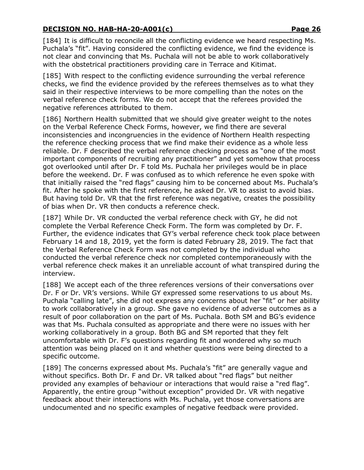[184] It is difficult to reconcile all the conflicting evidence we heard respecting Ms. Puchala's "fit". Having considered the conflicting evidence, we find the evidence is not clear and convincing that Ms. Puchala will not be able to work collaboratively with the obstetrical practitioners providing care in Terrace and Kitimat.

[185] With respect to the conflicting evidence surrounding the verbal reference checks, we find the evidence provided by the referees themselves as to what they said in their respective interviews to be more compelling than the notes on the verbal reference check forms. We do not accept that the referees provided the negative references attributed to them.

[186] Northern Health submitted that we should give greater weight to the notes on the Verbal Reference Check Forms, however, we find there are several inconsistencies and incongruencies in the evidence of Northern Health respecting the reference checking process that we find make their evidence as a whole less reliable. Dr. F described the verbal reference checking process as "one of the most important components of recruiting any practitioner" and yet somehow that process got overlooked until after Dr. F told Ms. Puchala her privileges would be in place before the weekend. Dr. F was confused as to which reference he even spoke with that initially raised the "red flags" causing him to be concerned about Ms. Puchala's fit. After he spoke with the first reference, he asked Dr. VR to assist to avoid bias. But having told Dr. VR that the first reference was negative, creates the possibility of bias when Dr. VR then conducts a reference check.

[187] While Dr. VR conducted the verbal reference check with GY, he did not complete the Verbal Reference Check Form. The form was completed by Dr. F. Further, the evidence indicates that GY's verbal reference check took place between February 14 and 18, 2019, yet the form is dated February 28, 2019. The fact that the Verbal Reference Check Form was not completed by the individual who conducted the verbal reference check nor completed contemporaneously with the verbal reference check makes it an unreliable account of what transpired during the interview.

[188] We accept each of the three references versions of their conversations over Dr. F or Dr. VR's versions. While GY expressed some reservations to us about Ms. Puchala "calling late", she did not express any concerns about her "fit" or her ability to work collaboratively in a group. She gave no evidence of adverse outcomes as a result of poor collaboration on the part of Ms. Puchala. Both SM and BG's evidence was that Ms. Puchala consulted as appropriate and there were no issues with her working collaboratively in a group. Both BG and SM reported that they felt uncomfortable with Dr. F's questions regarding fit and wondered why so much attention was being placed on it and whether questions were being directed to a specific outcome.

[189] The concerns expressed about Ms. Puchala's "fit" are generally vague and without specifics. Both Dr. F and Dr. VR talked about "red flags" but neither provided any examples of behaviour or interactions that would raise a "red flag". Apparently, the entire group "without exception" provided Dr. VR with negative feedback about their interactions with Ms. Puchala, yet those conversations are undocumented and no specific examples of negative feedback were provided.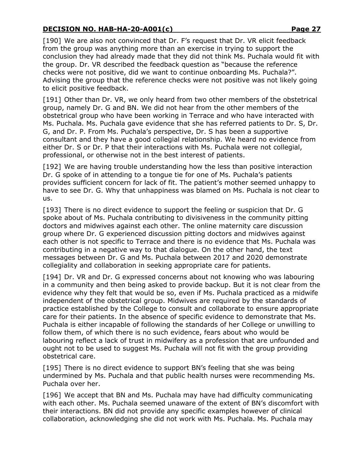[190] We are also not convinced that Dr. F's request that Dr. VR elicit feedback from the group was anything more than an exercise in trying to support the conclusion they had already made that they did not think Ms. Puchala would fit with the group. Dr. VR described the feedback question as "because the reference checks were not positive, did we want to continue onboarding Ms. Puchala?". Advising the group that the reference checks were not positive was not likely going to elicit positive feedback.

[191] Other than Dr. VR, we only heard from two other members of the obstetrical group, namely Dr. G and BN. We did not hear from the other members of the obstetrical group who have been working in Terrace and who have interacted with Ms. Puchala. Ms. Puchala gave evidence that she has referred patients to Dr. S, Dr. G, and Dr. P. From Ms. Puchala's perspective, Dr. S has been a supportive consultant and they have a good collegial relationship. We heard no evidence from either Dr. S or Dr. P that their interactions with Ms. Puchala were not collegial, professional, or otherwise not in the best interest of patients.

[192] We are having trouble understanding how the less than positive interaction Dr. G spoke of in attending to a tongue tie for one of Ms. Puchala's patients provides sufficient concern for lack of fit. The patient's mother seemed unhappy to have to see Dr. G. Why that unhappiness was blamed on Ms. Puchala is not clear to us.

[193] There is no direct evidence to support the feeling or suspicion that Dr. G spoke about of Ms. Puchala contributing to divisiveness in the community pitting doctors and midwives against each other. The online maternity care discussion group where Dr. G experienced discussion pitting doctors and midwives against each other is not specific to Terrace and there is no evidence that Ms. Puchala was contributing in a negative way to that dialogue. On the other hand, the text messages between Dr. G and Ms. Puchala between 2017 and 2020 demonstrate collegiality and collaboration in seeking appropriate care for patients.

[194] Dr. VR and Dr. G expressed concerns about not knowing who was labouring in a community and then being asked to provide backup. But it is not clear from the evidence why they felt that would be so, even if Ms. Puchala practiced as a midwife independent of the obstetrical group. Midwives are required by the standards of practice established by the College to consult and collaborate to ensure appropriate care for their patients. In the absence of specific evidence to demonstrate that Ms. Puchala is either incapable of following the standards of her College or unwilling to follow them, of which there is no such evidence, fears about who would be labouring reflect a lack of trust in midwifery as a profession that are unfounded and ought not to be used to suggest Ms. Puchala will not fit with the group providing obstetrical care.

[195] There is no direct evidence to support BN's feeling that she was being undermined by Ms. Puchala and that public health nurses were recommending Ms. Puchala over her.

[196] We accept that BN and Ms. Puchala may have had difficulty communicating with each other. Ms. Puchala seemed unaware of the extent of BN's discomfort with their interactions. BN did not provide any specific examples however of clinical collaboration, acknowledging she did not work with Ms. Puchala. Ms. Puchala may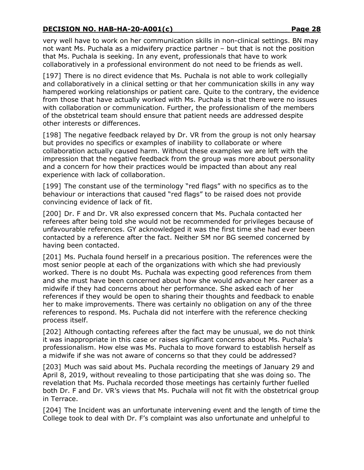very well have to work on her communication skills in non-clinical settings. BN may not want Ms. Puchala as a midwifery practice partner – but that is not the position that Ms. Puchala is seeking. In any event, professionals that have to work collaboratively in a professional environment do not need to be friends as well.

[197] There is no direct evidence that Ms. Puchala is not able to work collegially and collaboratively in a clinical setting or that her communication skills in any way hampered working relationships or patient care. Quite to the contrary, the evidence from those that have actually worked with Ms. Puchala is that there were no issues with collaboration or communication. Further, the professionalism of the members of the obstetrical team should ensure that patient needs are addressed despite other interests or differences.

[198] The negative feedback relayed by Dr. VR from the group is not only hearsay but provides no specifics or examples of inability to collaborate or where collaboration actually caused harm. Without these examples we are left with the impression that the negative feedback from the group was more about personality and a concern for how their practices would be impacted than about any real experience with lack of collaboration.

[199] The constant use of the terminology "red flags" with no specifics as to the behaviour or interactions that caused "red flags" to be raised does not provide convincing evidence of lack of fit.

[200] Dr. F and Dr. VR also expressed concern that Ms. Puchala contacted her referees after being told she would not be recommended for privileges because of unfavourable references. GY acknowledged it was the first time she had ever been contacted by a reference after the fact. Neither SM nor BG seemed concerned by having been contacted.

[201] Ms. Puchala found herself in a precarious position. The references were the most senior people at each of the organizations with which she had previously worked. There is no doubt Ms. Puchala was expecting good references from them and she must have been concerned about how she would advance her career as a midwife if they had concerns about her performance. She asked each of her references if they would be open to sharing their thoughts and feedback to enable her to make improvements. There was certainly no obligation on any of the three references to respond. Ms. Puchala did not interfere with the reference checking process itself.

[202] Although contacting referees after the fact may be unusual, we do not think it was inappropriate in this case or raises significant concerns about Ms. Puchala's professionalism. How else was Ms. Puchala to move forward to establish herself as a midwife if she was not aware of concerns so that they could be addressed?

[203] Much was said about Ms. Puchala recording the meetings of January 29 and April 8, 2019, without revealing to those participating that she was doing so. The revelation that Ms. Puchala recorded those meetings has certainly further fuelled both Dr. F and Dr. VR's views that Ms. Puchala will not fit with the obstetrical group in Terrace.

[204] The Incident was an unfortunate intervening event and the length of time the College took to deal with Dr. F's complaint was also unfortunate and unhelpful to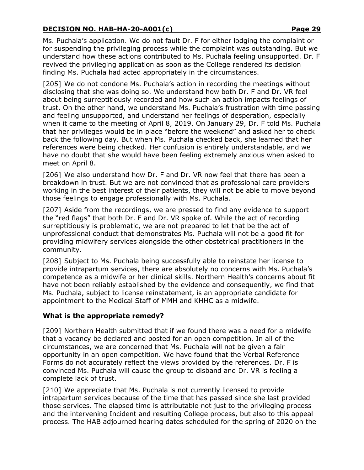Ms. Puchala's application. We do not fault Dr. F for either lodging the complaint or for suspending the privileging process while the complaint was outstanding. But we understand how these actions contributed to Ms. Puchala feeling unsupported. Dr. F revived the privileging application as soon as the College rendered its decision finding Ms. Puchala had acted appropriately in the circumstances.

[205] We do not condone Ms. Puchala's action in recording the meetings without disclosing that she was doing so. We understand how both Dr. F and Dr. VR feel about being surreptitiously recorded and how such an action impacts feelings of trust. On the other hand, we understand Ms. Puchala's frustration with time passing and feeling unsupported, and understand her feelings of desperation, especially when it came to the meeting of April 8, 2019. On January 29, Dr. F told Ms. Puchala that her privileges would be in place "before the weekend" and asked her to check back the following day. But when Ms. Puchala checked back, she learned that her references were being checked. Her confusion is entirely understandable, and we have no doubt that she would have been feeling extremely anxious when asked to meet on April 8.

[206] We also understand how Dr. F and Dr. VR now feel that there has been a breakdown in trust. But we are not convinced that as professional care providers working in the best interest of their patients, they will not be able to move beyond those feelings to engage professionally with Ms. Puchala.

[207] Aside from the recordings, we are pressed to find any evidence to support the "red flags" that both Dr. F and Dr. VR spoke of. While the act of recording surreptitiously is problematic, we are not prepared to let that be the act of unprofessional conduct that demonstrates Ms. Puchala will not be a good fit for providing midwifery services alongside the other obstetrical practitioners in the community.

[208] Subject to Ms. Puchala being successfully able to reinstate her license to provide intrapartum services, there are absolutely no concerns with Ms. Puchala's competence as a midwife or her clinical skills. Northern Health's concerns about fit have not been reliably established by the evidence and consequently, we find that Ms. Puchala, subject to license reinstatement, is an appropriate candidate for appointment to the Medical Staff of MMH and KHHC as a midwife.

### **What is the appropriate remedy?**

[209] Northern Health submitted that if we found there was a need for a midwife that a vacancy be declared and posted for an open competition. In all of the circumstances, we are concerned that Ms. Puchala will not be given a fair opportunity in an open competition. We have found that the Verbal Reference Forms do not accurately reflect the views provided by the references. Dr. F is convinced Ms. Puchala will cause the group to disband and Dr. VR is feeling a complete lack of trust.

[210] We appreciate that Ms. Puchala is not currently licensed to provide intrapartum services because of the time that has passed since she last provided those services. The elapsed time is attributable not just to the privileging process and the intervening Incident and resulting College process, but also to this appeal process. The HAB adjourned hearing dates scheduled for the spring of 2020 on the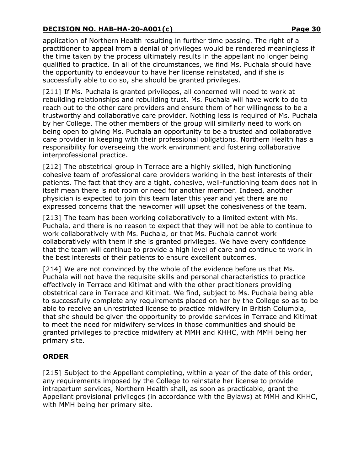application of Northern Health resulting in further time passing. The right of a practitioner to appeal from a denial of privileges would be rendered meaningless if the time taken by the process ultimately results in the appellant no longer being qualified to practice. In all of the circumstances, we find Ms. Puchala should have the opportunity to endeavour to have her license reinstated, and if she is successfully able to do so, she should be granted privileges.

[211] If Ms. Puchala is granted privileges, all concerned will need to work at rebuilding relationships and rebuilding trust. Ms. Puchala will have work to do to reach out to the other care providers and ensure them of her willingness to be a trustworthy and collaborative care provider. Nothing less is required of Ms. Puchala by her College. The other members of the group will similarly need to work on being open to giving Ms. Puchala an opportunity to be a trusted and collaborative care provider in keeping with their professional obligations. Northern Health has a responsibility for overseeing the work environment and fostering collaborative interprofessional practice.

[212] The obstetrical group in Terrace are a highly skilled, high functioning cohesive team of professional care providers working in the best interests of their patients. The fact that they are a tight, cohesive, well-functioning team does not in itself mean there is not room or need for another member. Indeed, another physician is expected to join this team later this year and yet there are no expressed concerns that the newcomer will upset the cohesiveness of the team.

[213] The team has been working collaboratively to a limited extent with Ms. Puchala, and there is no reason to expect that they will not be able to continue to work collaboratively with Ms. Puchala, or that Ms. Puchala cannot work collaboratively with them if she is granted privileges. We have every confidence that the team will continue to provide a high level of care and continue to work in the best interests of their patients to ensure excellent outcomes.

[214] We are not convinced by the whole of the evidence before us that Ms. Puchala will not have the requisite skills and personal characteristics to practice effectively in Terrace and Kitimat and with the other practitioners providing obstetrical care in Terrace and Kitimat. We find, subject to Ms. Puchala being able to successfully complete any requirements placed on her by the College so as to be able to receive an unrestricted license to practice midwifery in British Columbia, that she should be given the opportunity to provide services in Terrace and Kitimat to meet the need for midwifery services in those communities and should be granted privileges to practice midwifery at MMH and KHHC, with MMH being her primary site.

### **ORDER**

[215] Subject to the Appellant completing, within a year of the date of this order, any requirements imposed by the College to reinstate her license to provide intrapartum services, Northern Health shall, as soon as practicable, grant the Appellant provisional privileges (in accordance with the Bylaws) at MMH and KHHC, with MMH being her primary site.